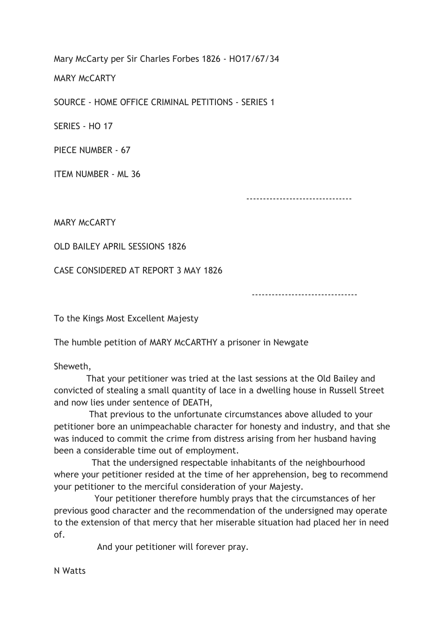Mary McCarty per Sir Charles Forbes 1826 - HO17/67/34

MARY McCARTY

SOURCE - HOME OFFICE CRIMINAL PETITIONS - SERIES 1

SERIES - HO 17

PIECE NUMBER - 67

ITEM NUMBER - ML 36

--------------------------------

MARY McCARTY

OLD BAILEY APRIL SESSIONS 1826

CASE CONSIDERED AT REPORT 3 MAY 1826

--------------------------------

To the Kings Most Excellent Majesty

The humble petition of MARY McCARTHY a prisoner in Newgate

Sheweth,

 That your petitioner was tried at the last sessions at the Old Bailey and convicted of stealing a small quantity of lace in a dwelling house in Russell Street and now lies under sentence of DEATH,

 That previous to the unfortunate circumstances above alluded to your petitioner bore an unimpeachable character for honesty and industry, and that she was induced to commit the crime from distress arising from her husband having been a considerable time out of employment.

 That the undersigned respectable inhabitants of the neighbourhood where your petitioner resided at the time of her apprehension, beg to recommend your petitioner to the merciful consideration of your Majesty.

 Your petitioner therefore humbly prays that the circumstances of her previous good character and the recommendation of the undersigned may operate to the extension of that mercy that her miserable situation had placed her in need of.

And your petitioner will forever pray.

N Watts